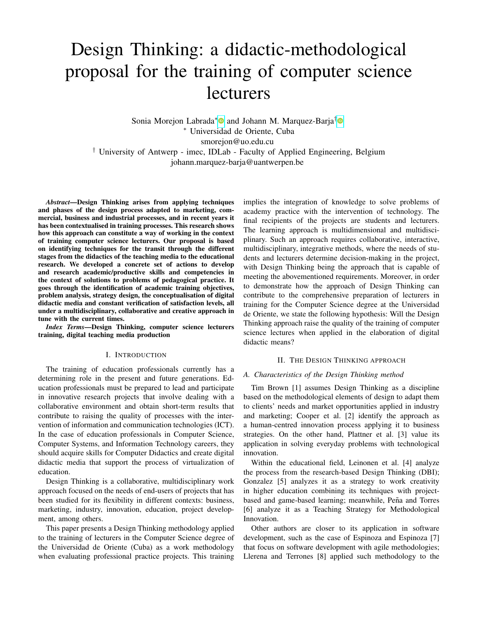# Design Thinking: a didactic-methodological proposal for the training of computer science lecturers

Sonia Morejon Labrada<sup>[∗](https://orcid.org/0000-0003-0064-8758)</sup> and Johann M. Marquez-Barja<sup>[†](https://orcid.org/0000-0001-5660-3597)</sup> <sup>∗</sup> Universidad de Oriente, Cuba smorejon@uo.edu.cu † University of Antwerp - imec, IDLab - Faculty of Applied Engineering, Belgium johann.marquez-barja@uantwerpen.be

*Abstract*—Design Thinking arises from applying techniques and phases of the design process adapted to marketing, commercial, business and industrial processes, and in recent years it has been contextualised in training processes. This research shows how this approach can constitute a way of working in the context of training computer science lecturers. Our proposal is based on identifying techniques for the transit through the different stages from the didactics of the teaching media to the educational research. We developed a concrete set of actions to develop and research academic/productive skills and competencies in the context of solutions to problems of pedagogical practice. It goes through the identification of academic training objectives, problem analysis, strategy design, the conceptualisation of digital didactic media and constant verification of satisfaction levels, all under a multidisciplinary, collaborative and creative approach in tune with the current times.

*Index Terms*—Design Thinking, computer science lecturers training, digital teaching media production

#### I. INTRODUCTION

The training of education professionals currently has a determining role in the present and future generations. Education professionals must be prepared to lead and participate in innovative research projects that involve dealing with a collaborative environment and obtain short-term results that contribute to raising the quality of processes with the intervention of information and communication technologies (ICT). In the case of education professionals in Computer Science, Computer Systems, and Information Technology careers, they should acquire skills for Computer Didactics and create digital didactic media that support the process of virtualization of education.

Design Thinking is a collaborative, multidisciplinary work approach focused on the needs of end-users of projects that has been studied for its flexibility in different contexts: business, marketing, industry, innovation, education, project development, among others.

This paper presents a Design Thinking methodology applied to the training of lecturers in the Computer Science degree of the Universidad de Oriente (Cuba) as a work methodology when evaluating professional practice projects. This training implies the integration of knowledge to solve problems of academy practice with the intervention of technology. The final recipients of the projects are students and lecturers. The learning approach is multidimensional and multidisciplinary. Such an approach requires collaborative, interactive, multidisciplinary, integrative methods, where the needs of students and lecturers determine decision-making in the project, with Design Thinking being the approach that is capable of meeting the abovementioned requirements. Moreover, in order to demonstrate how the approach of Design Thinking can contribute to the comprehensive preparation of lecturers in training for the Computer Science degree at the Universidad de Oriente, we state the following hypothesis: Will the Design Thinking approach raise the quality of the training of computer science lectures when applied in the elaboration of digital didactic means?

### II. THE DESIGN THINKING APPROACH

#### *A. Characteristics of the Design Thinking method*

Tim Brown [1] assumes Design Thinking as a discipline based on the methodological elements of design to adapt them to clients' needs and market opportunities applied in industry and marketing; Cooper et al. [2] identify the approach as a human-centred innovation process applying it to business strategies. On the other hand, Plattner et al. [3] value its application in solving everyday problems with technological innovation.

Within the educational field, Leinonen et al. [4] analyze the process from the research-based Design Thinking (DBI); Gonzalez [5] analyzes it as a strategy to work creativity in higher education combining its techniques with projectbased and game-based learning; meanwhile, Peña and Torres [6] analyze it as a Teaching Strategy for Methodological Innovation.

Other authors are closer to its application in software development, such as the case of Espinoza and Espinoza [7] that focus on software development with agile methodologies; Llerena and Terrones [8] applied such methodology to the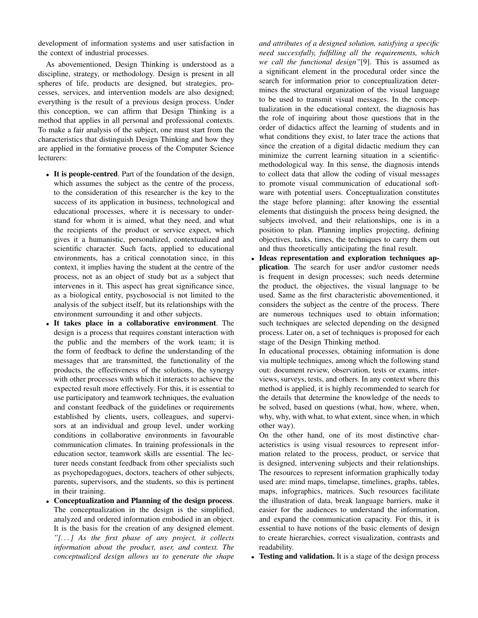development of information systems and user satisfaction in the context of industrial processes.

As abovementioned, Design Thinking is understood as a discipline, strategy, or methodology. Design is present in all spheres of life, products are designed, but strategies, processes, services, and intervention models are also designed; everything is the result of a previous design process. Under this conception, we can affirm that Design Thinking is a method that applies in all personal and professional contexts. To make a fair analysis of the subject, one must start from the characteristics that distinguish Design Thinking and how they are applied in the formative process of the Computer Science lecturers:

- It is people-centred. Part of the foundation of the design, which assumes the subject as the centre of the process, to the consideration of this researcher is the key to the success of its application in business, technological and educational processes, where it is necessary to understand for whom it is aimed, what they need, and what the recipients of the product or service expect, which gives it a humanistic, personalized, contextualized and scientific character. Such facts, applied to educational environments, has a critical connotation since, in this context, it implies having the student at the centre of the process, not as an object of study but as a subject that intervenes in it. This aspect has great significance since, as a biological entity, psychosocial is not limited to the analysis of the subject itself, but its relationships with the environment surrounding it and other subjects.
- It takes place in a collaborative environment. The design is a process that requires constant interaction with the public and the members of the work team; it is the form of feedback to define the understanding of the messages that are transmitted, the functionality of the products, the effectiveness of the solutions, the synergy with other processes with which it interacts to achieve the expected result more effectively. For this, it is essential to use participatory and teamwork techniques, the evaluation and constant feedback of the guidelines or requirements established by clients, users, colleagues, and supervisors at an individual and group level, under working conditions in collaborative environments in favourable communication climates. In training professionals in the education sector, teamwork skills are essential. The lecturer needs constant feedback from other specialists such as psychopedagogues, doctors, teachers of other subjects, parents, supervisors, and the students, so this is pertinent in their training.
- Conceptualization and Planning of the design process. The conceptualization in the design is the simplified, analyzed and ordered information embodied in an object. It is the basis for the creation of any designed element. *"[. . . ] As the first phase of any project, it collects information about the product, user, and context. The conceptualized design allows us to generate the shape*

*and attributes of a designed solution, satisfying a specific need successfully, fulfilling all the requirements, which we call the functional design"*[9]. This is assumed as a significant element in the procedural order since the search for information prior to conceptualization determines the structural organization of the visual language to be used to transmit visual messages. In the conceptualization in the educational context, the diagnosis has the role of inquiring about those questions that in the order of didactics affect the learning of students and in what conditions they exist, to later trace the actions that since the creation of a digital didactic medium they can minimize the current learning situation in a scientificmethodological way. In this sense, the diagnosis intends to collect data that allow the coding of visual messages to promote visual communication of educational software with potential users. Conceptualization constitutes the stage before planning; after knowing the essential elements that distinguish the process being designed, the subjects involved, and their relationships, one is in a position to plan. Planning implies projecting, defining objectives, tasks, times, the techniques to carry them out and thus theoretically anticipating the final result.

• Ideas representation and exploration techniques application. The search for user and/or customer needs is frequent in design processes; such needs determine the product, the objectives, the visual language to be used. Same as the first characteristic abovementioned, it considers the subject as the centre of the process. There are numerous techniques used to obtain information; such techniques are selected depending on the designed process. Later on, a set of techniques is proposed for each stage of the Design Thinking method.

In educational processes, obtaining information is done via multiple techniques, among which the following stand out: document review, observation, tests or exams, interviews, surveys, tests, and others. In any context where this method is applied, it is highly recommended to search for the details that determine the knowledge of the needs to be solved, based on questions (what, how, where, when, why, why, with what, to what extent, since when, in which other way).

On the other hand, one of its most distinctive characteristics is using visual resources to represent information related to the process, product, or service that is designed, intervening subjects and their relationships. The resources to represent information graphically today used are: mind maps, timelapse, timelines, graphs, tables, maps, infographics, matrices. Such resources facilitate the illustration of data, break language barriers, make it easier for the audiences to understand the information, and expand the communication capacity. For this, it is essential to have notions of the basic elements of design to create hierarchies, correct visualization, contrasts and readability.

• Testing and validation. It is a stage of the design process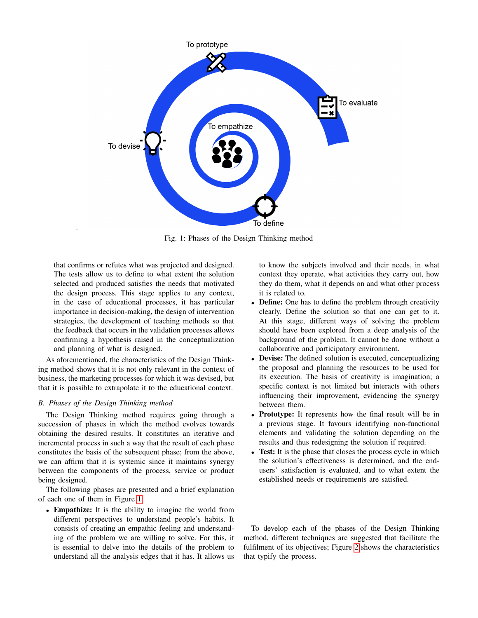<span id="page-2-0"></span>

Fig. 1: Phases of the Design Thinking method

that confirms or refutes what was projected and designed. The tests allow us to define to what extent the solution selected and produced satisfies the needs that motivated the design process. This stage applies to any context, in the case of educational processes, it has particular importance in decision-making, the design of intervention strategies, the development of teaching methods so that the feedback that occurs in the validation processes allows confirming a hypothesis raised in the conceptualization and planning of what is designed.

As aforementioned, the characteristics of the Design Thinking method shows that it is not only relevant in the context of business, the marketing processes for which it was devised, but that it is possible to extrapolate it to the educational context.

## *B. Phases of the Design Thinking method*

.

The Design Thinking method requires going through a succession of phases in which the method evolves towards obtaining the desired results. It constitutes an iterative and incremental process in such a way that the result of each phase constitutes the basis of the subsequent phase; from the above, we can affirm that it is systemic since it maintains synergy between the components of the process, service or product being designed.

The following phases are presented and a brief explanation of each one of them in Figure [1](#page-2-0)

• Empathize: It is the ability to imagine the world from different perspectives to understand people's habits. It consists of creating an empathic feeling and understanding of the problem we are willing to solve. For this, it is essential to delve into the details of the problem to understand all the analysis edges that it has. It allows us

to know the subjects involved and their needs, in what context they operate, what activities they carry out, how they do them, what it depends on and what other process it is related to.

- Define: One has to define the problem through creativity clearly. Define the solution so that one can get to it. At this stage, different ways of solving the problem should have been explored from a deep analysis of the background of the problem. It cannot be done without a collaborative and participatory environment.
- Devise: The defined solution is executed, conceptualizing the proposal and planning the resources to be used for its execution. The basis of creativity is imagination; a specific context is not limited but interacts with others influencing their improvement, evidencing the synergy between them.
- Prototype: It represents how the final result will be in a previous stage. It favours identifying non-functional elements and validating the solution depending on the results and thus redesigning the solution if required.
- Test: It is the phase that closes the process cycle in which the solution's effectiveness is determined, and the endusers' satisfaction is evaluated, and to what extent the established needs or requirements are satisfied.

To develop each of the phases of the Design Thinking method, different techniques are suggested that facilitate the fulfilment of its objectives; Figure [2](#page-3-0) shows the characteristics that typify the process.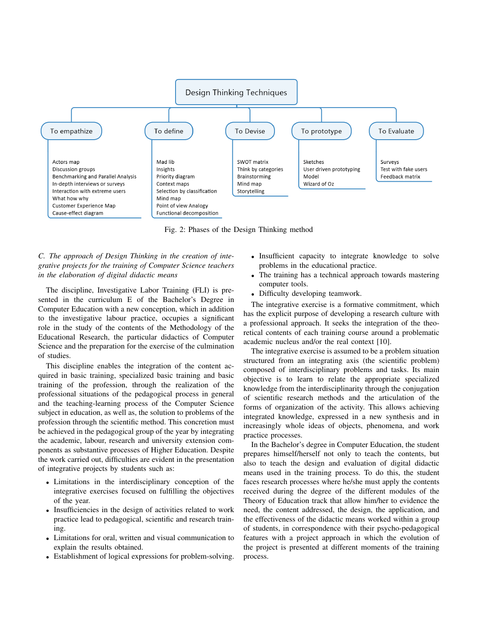<span id="page-3-0"></span>

Fig. 2: Phases of the Design Thinking method

*C. The approach of Design Thinking in the creation of integrative projects for the training of Computer Science teachers in the elaboration of digital didactic means*

The discipline, Investigative Labor Training (FLI) is presented in the curriculum E of the Bachelor's Degree in Computer Education with a new conception, which in addition to the investigative labour practice, occupies a significant role in the study of the contents of the Methodology of the Educational Research, the particular didactics of Computer Science and the preparation for the exercise of the culmination of studies.

This discipline enables the integration of the content acquired in basic training, specialized basic training and basic training of the profession, through the realization of the professional situations of the pedagogical process in general and the teaching-learning process of the Computer Science subject in education, as well as, the solution to problems of the profession through the scientific method. This concretion must be achieved in the pedagogical group of the year by integrating the academic, labour, research and university extension components as substantive processes of Higher Education. Despite the work carried out, difficulties are evident in the presentation of integrative projects by students such as:

- Limitations in the interdisciplinary conception of the integrative exercises focused on fulfilling the objectives of the year.
- Insufficiencies in the design of activities related to work practice lead to pedagogical, scientific and research training.
- Limitations for oral, written and visual communication to explain the results obtained.
- Establishment of logical expressions for problem-solving.
- Insufficient capacity to integrate knowledge to solve problems in the educational practice.
- The training has a technical approach towards mastering computer tools.
- Difficulty developing teamwork.

The integrative exercise is a formative commitment, which has the explicit purpose of developing a research culture with a professional approach. It seeks the integration of the theoretical contents of each training course around a problematic academic nucleus and/or the real context [10].

The integrative exercise is assumed to be a problem situation structured from an integrating axis (the scientific problem) composed of interdisciplinary problems and tasks. Its main objective is to learn to relate the appropriate specialized knowledge from the interdisciplinarity through the conjugation of scientific research methods and the articulation of the forms of organization of the activity. This allows achieving integrated knowledge, expressed in a new synthesis and in increasingly whole ideas of objects, phenomena, and work practice processes.

In the Bachelor's degree in Computer Education, the student prepares himself/herself not only to teach the contents, but also to teach the design and evaluation of digital didactic means used in the training process. To do this, the student faces research processes where he/she must apply the contents received during the degree of the different modules of the Theory of Education track that allow him/her to evidence the need, the content addressed, the design, the application, and the effectiveness of the didactic means worked within a group of students, in correspondence with their psycho-pedagogical features with a project approach in which the evolution of the project is presented at different moments of the training process.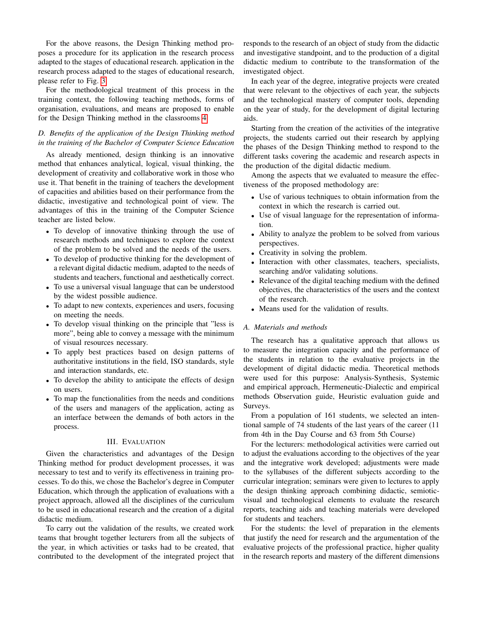For the above reasons, the Design Thinking method proposes a procedure for its application in the research process adapted to the stages of educational research. application in the research process adapted to the stages of educational research, please refer to Fig. [3.](#page-5-0)

For the methodological treatment of this process in the training context, the following teaching methods, forms of organisation, evaluations, and means are proposed to enable for the Design Thinking method in the classrooms [4.](#page-5-1)

# *D. Benefits of the application of the Design Thinking method in the training of the Bachelor of Computer Science Education*

As already mentioned, design thinking is an innovative method that enhances analytical, logical, visual thinking, the development of creativity and collaborative work in those who use it. That benefit in the training of teachers the development of capacities and abilities based on their performance from the didactic, investigative and technological point of view. The advantages of this in the training of the Computer Science teacher are listed below.

- To develop of innovative thinking through the use of research methods and techniques to explore the context of the problem to be solved and the needs of the users.
- To develop of productive thinking for the development of a relevant digital didactic medium, adapted to the needs of students and teachers, functional and aesthetically correct.
- To use a universal visual language that can be understood by the widest possible audience.
- To adapt to new contexts, experiences and users, focusing on meeting the needs.
- To develop visual thinking on the principle that "less is more", being able to convey a message with the minimum of visual resources necessary.
- To apply best practices based on design patterns of authoritative institutions in the field, ISO standards, style and interaction standards, etc.
- To develop the ability to anticipate the effects of design on users.
- To map the functionalities from the needs and conditions of the users and managers of the application, acting as an interface between the demands of both actors in the process.

## III. EVALUATION

Given the characteristics and advantages of the Design Thinking method for product development processes, it was necessary to test and to verify its effectiveness in training processes. To do this, we chose the Bachelor's degree in Computer Education, which through the application of evaluations with a project approach, allowed all the disciplines of the curriculum to be used in educational research and the creation of a digital didactic medium.

To carry out the validation of the results, we created work teams that brought together lecturers from all the subjects of the year, in which activities or tasks had to be created, that contributed to the development of the integrated project that

responds to the research of an object of study from the didactic and investigative standpoint, and to the production of a digital didactic medium to contribute to the transformation of the investigated object.

In each year of the degree, integrative projects were created that were relevant to the objectives of each year, the subjects and the technological mastery of computer tools, depending on the year of study, for the development of digital lecturing aids.

Starting from the creation of the activities of the integrative projects, the students carried out their research by applying the phases of the Design Thinking method to respond to the different tasks covering the academic and research aspects in the production of the digital didactic medium.

Among the aspects that we evaluated to measure the effectiveness of the proposed methodology are:

- Use of various techniques to obtain information from the context in which the research is carried out.
- Use of visual language for the representation of information.
- Ability to analyze the problem to be solved from various perspectives.
- Creativity in solving the problem.
- Interaction with other classmates, teachers, specialists, searching and/or validating solutions.
- Relevance of the digital teaching medium with the defined objectives, the characteristics of the users and the context of the research.
- Means used for the validation of results.

## *A. Materials and methods*

The research has a qualitative approach that allows us to measure the integration capacity and the performance of the students in relation to the evaluative projects in the development of digital didactic media. Theoretical methods were used for this purpose: Analysis-Synthesis, Systemic and empirical approach, Hermeneutic-Dialectic and empirical methods Observation guide, Heuristic evaluation guide and Surveys.

From a population of 161 students, we selected an intentional sample of 74 students of the last years of the career (11 from 4th in the Day Course and 63 from 5th Course)

For the lecturers: methodological activities were carried out to adjust the evaluations according to the objectives of the year and the integrative work developed; adjustments were made to the syllabuses of the different subjects according to the curricular integration; seminars were given to lectures to apply the design thinking approach combining didactic, semioticvisual and technological elements to evaluate the research reports, teaching aids and teaching materials were developed for students and teachers.

For the students: the level of preparation in the elements that justify the need for research and the argumentation of the evaluative projects of the professional practice, higher quality in the research reports and mastery of the different dimensions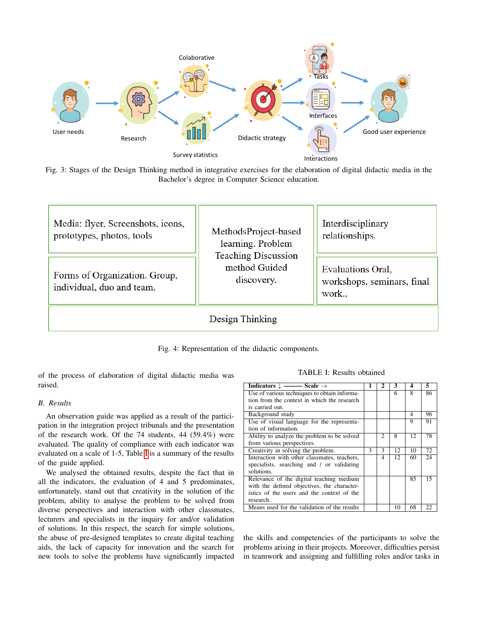<span id="page-5-0"></span>

Fig. 3: Stages of the Design Thinking method in integrative exercises for the elaboration of digital didactic media in the Bachelor's degree in Computer Science education.

<span id="page-5-1"></span>![](_page_5_Figure_2.jpeg)

Fig. 4: Representation of the didactic components.

of the process of elaboration of digital didactic media was raised.

# *B. Results*

An observation guide was applied as a result of the participation in the integration project tribunals and the presentation of the research work. Of the 74 students, 44 (59.4%) were evaluated. The quality of compliance with each indicator was evaluated on a scale of 1-5, Table [I](#page-5-2) is a summary of the results of the guide applied.

We analysed the obtained results, despite the fact that in all the indicators, the evaluation of 4 and 5 predominates, unfortunately, stand out that creativity in the solution of the problem, ability to analyse the problem to be solved from diverse perspectives and interaction with other classmates, lecturers and specialists in the inquiry for and/or validation of solutions. In this respect, the search for simple solutions, the abuse of pre-designed templates to create digital teaching aids, the lack of capacity for innovation and the search for new tools to solve the problems have significantly impacted

#### TABLE I: Results obtained

<span id="page-5-2"></span>

| Indicators $\downarrow$ ——— Scale $\rightarrow$ | 1             | 2 | 3   | 4  | 5  |
|-------------------------------------------------|---------------|---|-----|----|----|
| Use of various techniques to obtain informa-    |               |   | 6   | 8  | 86 |
| tion from the context in which the research     |               |   |     |    |    |
| is carried out.                                 |               |   |     |    |    |
| Background study                                |               |   |     | 4  | 96 |
| Use of visual language for the representa-      |               |   |     | 9  | 91 |
| tion of information.                            |               |   |     |    |    |
| Ability to analyze the problem to be solved     |               | 2 | 8   | 12 | 78 |
| from various perspectives.                      |               |   |     |    |    |
| Creativity in solving the problem.              | $\mathcal{F}$ | 3 | 12  | 10 | 72 |
| Interaction with other classmates, teachers,    |               | 4 | 12. | 60 | 24 |
| specialists, searching and / or validating      |               |   |     |    |    |
| solutions.                                      |               |   |     |    |    |
| Relevance of the digital teaching medium        |               |   |     | 85 | 15 |
| with the defined objectives, the character-     |               |   |     |    |    |
| istics of the users and the context of the      |               |   |     |    |    |
| research.                                       |               |   |     |    |    |
| Means used for the validation of the results    |               |   | 10  | 68 | 22 |

the skills and competencies of the participants to solve the problems arising in their projects. Moreover, difficulties persist in teamwork and assigning and fulfilling roles and/or tasks in